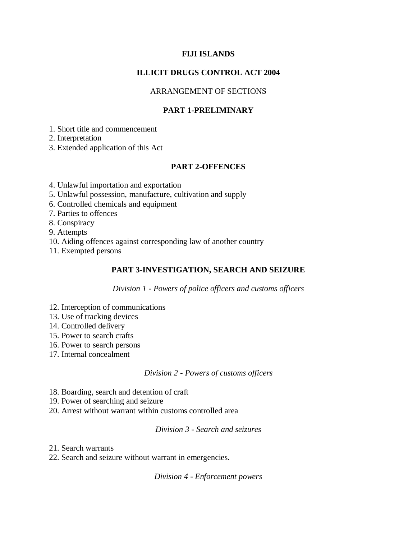## **FIJI ISLANDS**

## **ILLICIT DRUGS CONTROL ACT 2004**

## ARRANGEMENT OF SECTIONS

## **PART 1-PRELIMINARY**

1. Short title and commencement

2. Interpretation

3. Extended application of this Act

## **PART 2-OFFENCES**

4. Unlawful importation and exportation

- 5. Unlawful possession, manufacture, cultivation and supply
- 6. Controlled chemicals and equipment

7. Parties to offences

8. Conspiracy

9. Attempts

10. Aiding offences against corresponding law of another country

11. Exempted persons

## **PART 3-INVESTIGATION, SEARCH AND SEIZURE**

*Division 1 - Powers of police officers and customs officers*

- 12. Interception of communications
- 13. Use of tracking devices
- 14. Controlled delivery
- 15. Power to search crafts
- 16. Power to search persons
- 17. Internal concealment

*Division 2 - Powers of customs officers*

- 18. Boarding, search and detention of craft
- 19. Power of searching and seizure
- 20. Arrest without warrant within customs controlled area

*Division 3 - Search and seizures*

21. Search warrants

22. Search and seizure without warrant in emergencies.

*Division 4 - Enforcement powers*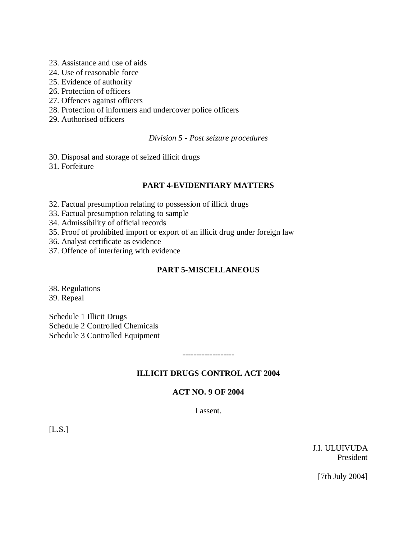- 23. Assistance and use of aids
- 24. Use of reasonable force
- 25. Evidence of authority
- 26. Protection of officers
- 27. Offences against officers
- 28. Protection of informers and undercover police officers
- 29. Authorised officers

#### *Division 5 - Post seizure procedures*

- 30. Disposal and storage of seized illicit drugs
- 31. Forfeiture

## **PART 4-EVIDENTIARY MATTERS**

- 32. Factual presumption relating to possession of illicit drugs
- 33. Factual presumption relating to sample
- 34. Admissibility of official records
- 35. Proof of prohibited import or export of an illicit drug under foreign law
- 36. Analyst certificate as evidence
- 37. Offence of interfering with evidence

## **PART 5-MISCELLANEOUS**

38. Regulations 39. Repeal

Schedule 1 Illicit Drugs Schedule 2 Controlled Chemicals Schedule 3 Controlled Equipment

#### **ILLICIT DRUGS CONTROL ACT 2004**

-------------------

#### **ACT NO. 9 OF 2004**

I assent.

[L.S.]

J.I. ULUIVUDA President

[7th July 2004]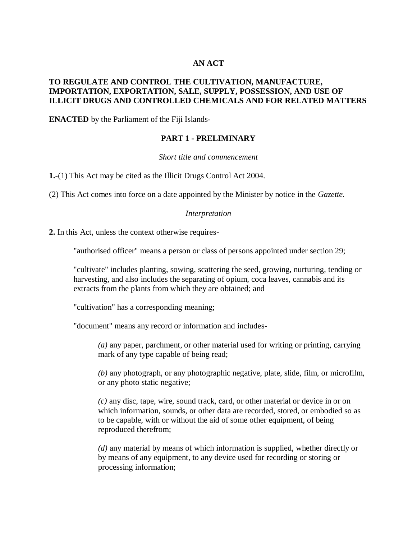## **AN ACT**

#### **TO REGULATE AND CONTROL THE CULTIVATION, MANUFACTURE, IMPORTATION, EXPORTATION, SALE, SUPPLY, POSSESSION, AND USE OF ILLICIT DRUGS AND CONTROLLED CHEMICALS AND FOR RELATED MATTERS**

**ENACTED** by the Parliament of the Fiji Islands-

## **PART 1 - PRELIMINARY**

#### *Short title and commencement*

**1.**-(1) This Act may be cited as the Illicit Drugs Control Act 2004.

(2) This Act comes into force on a date appointed by the Minister by notice in the *Gazette.*

#### *Interpretation*

**2.** In this Act, unless the context otherwise requires-

"authorised officer" means a person or class of persons appointed under section 29;

"cultivate" includes planting, sowing, scattering the seed, growing, nurturing, tending or harvesting, and also includes the separating of opium, coca leaves, cannabis and its extracts from the plants from which they are obtained; and

"cultivation" has a corresponding meaning;

"document" means any record or information and includes-

*(a)* any paper, parchment, or other material used for writing or printing, carrying mark of any type capable of being read;

*(b)* any photograph, or any photographic negative, plate, slide, film, or microfilm, or any photo static negative;

*(c)* any disc, tape, wire, sound track, card, or other material or device in or on which information, sounds, or other data are recorded, stored, or embodied so as to be capable, with or without the aid of some other equipment, of being reproduced therefrom;

*(d)* any material by means of which information is supplied, whether directly or by means of any equipment, to any device used for recording or storing or processing information;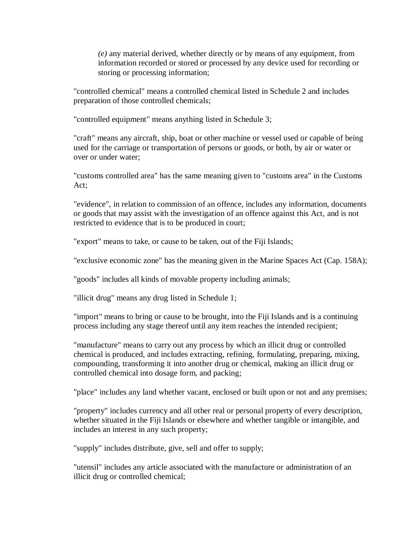*(e)* any material derived, whether directly or by means of any equipment, from information recorded or stored or processed by any device used for recording or storing or processing information;

"controlled chemical" means a controlled chemical listed in Schedule 2 and includes preparation of those controlled chemicals;

"controlled equipment" means anything listed in Schedule 3;

"craft" means any aircraft, ship, boat or other machine or vessel used or capable of being used for the carriage or transportation of persons or goods, or both, by air or water or over or under water;

"customs controlled area" has the same meaning given to "customs area" in the Customs Act;

"evidence", in relation to commission of an offence, includes any information, documents or goods that may assist with the investigation of an offence against this Act, and is not restricted to evidence that is to be produced in court;

"export" means to take, or cause to be taken, out of the Fiji Islands;

"exclusive economic zone" has the meaning given in the Marine Spaces Act (Cap. 158A);

"goods" includes all kinds of movable property including animals;

"illicit drug" means any drug listed in Schedule 1;

"import" means to bring or cause to be brought, into the Fiji Islands and is a continuing process including any stage thereof until any item reaches the intended recipient;

"manufacture" means to carry out any process by which an illicit drug or controlled chemical is produced, and includes extracting, refining, formulating, preparing, mixing, compounding, transforming it into another drug or chemical, making an illicit drug or controlled chemical into dosage form, and packing;

"place" includes any land whether vacant, enclosed or built upon or not and any premises;

"property" includes currency and all other real or personal property of every description, whether situated in the Fiji Islands or elsewhere and whether tangible or intangible, and includes an interest in any such property;

"supply" includes distribute, give, sell and offer to supply;

"utensil" includes any article associated with the manufacture or administration of an illicit drug or controlled chemical;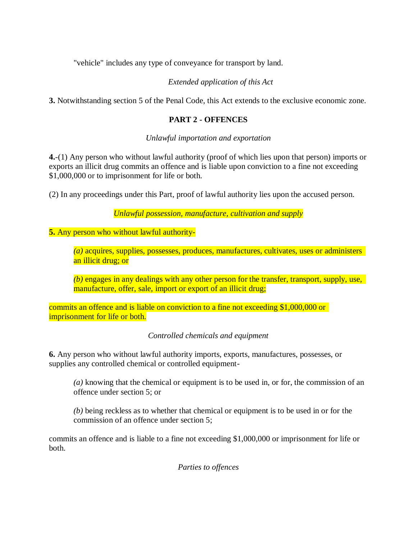"vehicle" includes any type of conveyance for transport by land.

# *Extended application of this Act*

**3.** Notwithstanding section 5 of the Penal Code, this Act extends to the exclusive economic zone.

## **PART 2 - OFFENCES**

*Unlawful importation and exportation*

**4.**-(1) Any person who without lawful authority (proof of which lies upon that person) imports or exports an illicit drug commits an offence and is liable upon conviction to a fine not exceeding \$1,000,000 or to imprisonment for life or both.

(2) In any proceedings under this Part, proof of lawful authority lies upon the accused person.

*Unlawful possession, manufacture, cultivation and supply*

**5.** Any person who without lawful authority-

*(a)* acquires, supplies, possesses, produces, manufactures, cultivates, uses or administers an illicit drug; or

*(b)* engages in any dealings with any other person for the transfer, transport, supply, use, manufacture, offer, sale, import or export of an illicit drug;

commits an offence and is liable on conviction to a fine not exceeding \$1,000,000 or imprisonment for life or both.

*Controlled chemicals and equipment*

**6.** Any person who without lawful authority imports, exports, manufactures, possesses, or supplies any controlled chemical or controlled equipment-

*(a)* knowing that the chemical or equipment is to be used in, or for, the commission of an offence under section 5; or

*(b)* being reckless as to whether that chemical or equipment is to be used in or for the commission of an offence under section 5;

commits an offence and is liable to a fine not exceeding \$1,000,000 or imprisonment for life or both.

*Parties to offences*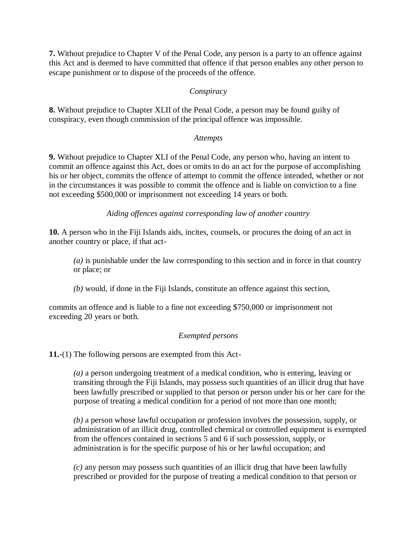**7.** Without prejudice to Chapter V of the Penal Code, any person is a party to an offence against this Act and is deemed to have committed that offence if that person enables any other person to escape punishment or to dispose of the proceeds of the offence.

## *Conspiracy*

**8.** Without prejudice to Chapter XLII of the Penal Code, a person may be found guilty of conspiracy, even though commission of the principal offence was impossible.

#### *Attempts*

**9.** Without prejudice to Chapter XLI of the Penal Code, any person who, having an intent to commit an offence against this Act, does or omits to do an act for the purpose of accomplishing his or her object, commits the offence of attempt to commit the offence intended, whether or not in the circumstances it was possible to commit the offence and is liable on conviction to a fine not exceeding \$500,000 or imprisonment not exceeding 14 years or both.

*Aiding offences against corresponding law of another country*

**10.** A person who in the Fiji Islands aids, incites, counsels, or procures the doing of an act in another country or place, if that act-

*(a)* is punishable under the law corresponding to this section and in force in that country or place; or

*(b)* would, if done in the Fiji Islands, constitute an offence against this section,

commits an offence and is liable to a fine not exceeding \$750,000 or imprisonment not exceeding 20 years or both.

## *Exempted persons*

**11.**-(1) The following persons are exempted from this Act-

*(a)* a person undergoing treatment of a medical condition, who is entering, leaving or transiting through the Fiji Islands, may possess such quantities of an illicit drug that have been lawfully prescribed or supplied to that person or person under his or her care for the purpose of treating a medical condition for a period of not more than one month;

*(b)* a person whose lawful occupation or profession involves the possession, supply, or administration of an illicit drug, controlled chemical or controlled equipment is exempted from the offences contained in sections 5 and 6 if such possession, supply, or administration is for the specific purpose of his or her lawful occupation; and

*(c)* any person may possess such quantities of an illicit drug that have been lawfully prescribed or provided for the purpose of treating a medical condition to that person or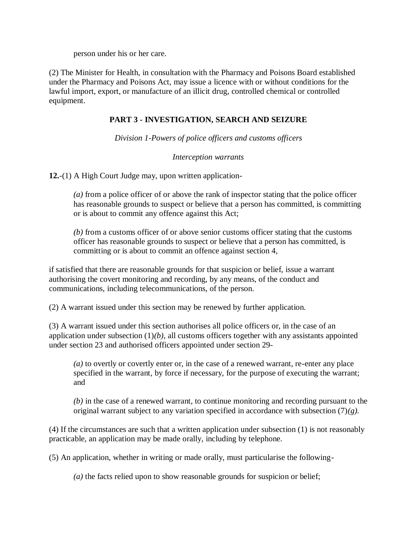person under his or her care.

(2) The Minister for Health, in consultation with the Pharmacy and Poisons Board established under the Pharmacy and Poisons Act, may issue a licence with or without conditions for the lawful import, export, or manufacture of an illicit drug, controlled chemical or controlled equipment.

## **PART 3 - INVESTIGATION, SEARCH AND SEIZURE**

*Division 1-Powers of police officers and customs officers*

#### *Interception warrants*

**12.**-(1) A High Court Judge may, upon written application-

*(a)* from a police officer of or above the rank of inspector stating that the police officer has reasonable grounds to suspect or believe that a person has committed, is committing or is about to commit any offence against this Act;

*(b)* from a customs officer of or above senior customs officer stating that the customs officer has reasonable grounds to suspect or believe that a person has committed, is committing or is about to commit an offence against section 4,

if satisfied that there are reasonable grounds for that suspicion or belief, issue a warrant authorising the covert monitoring and recording, by any means, of the conduct and communications, including telecommunications, of the person.

(2) A warrant issued under this section may be renewed by further application.

(3) A warrant issued under this section authorises all police officers or, in the case of an application under subsection  $(1)(b)$ , all customs officers together with any assistants appointed under section 23 and authorised officers appointed under section 29-

*(a)* to overtly or covertly enter or, in the case of a renewed warrant, re-enter any place specified in the warrant, by force if necessary, for the purpose of executing the warrant; and

*(b)* in the case of a renewed warrant, to continue monitoring and recording pursuant to the original warrant subject to any variation specified in accordance with subsection  $(7)(g)$ .

(4) If the circumstances are such that a written application under subsection (1) is not reasonably practicable, an application may be made orally, including by telephone.

(5) An application, whether in writing or made orally, must particularise the following-

*(a)* the facts relied upon to show reasonable grounds for suspicion or belief;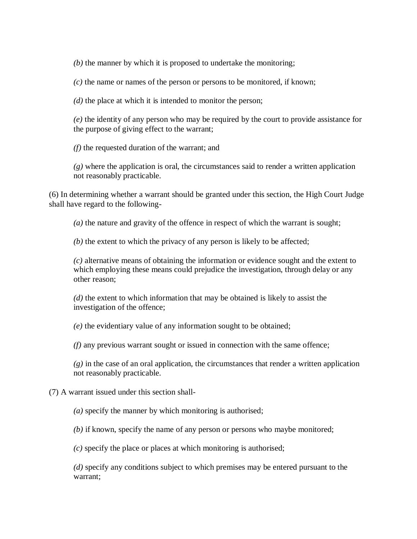*(b)* the manner by which it is proposed to undertake the monitoring;

*(c)* the name or names of the person or persons to be monitored, if known;

*(d)* the place at which it is intended to monitor the person;

*(e)* the identity of any person who may be required by the court to provide assistance for the purpose of giving effect to the warrant;

*(f)* the requested duration of the warrant; and

*(g)* where the application is oral, the circumstances said to render a written application not reasonably practicable.

(6) In determining whether a warrant should be granted under this section, the High Court Judge shall have regard to the following-

*(a)* the nature and gravity of the offence in respect of which the warrant is sought;

*(b)* the extent to which the privacy of any person is likely to be affected;

*(c)* alternative means of obtaining the information or evidence sought and the extent to which employing these means could prejudice the investigation, through delay or any other reason;

*(d)* the extent to which information that may be obtained is likely to assist the investigation of the offence;

*(e)* the evidentiary value of any information sought to be obtained;

*(f)* any previous warrant sought or issued in connection with the same offence;

 $(g)$  in the case of an oral application, the circumstances that render a written application not reasonably practicable.

(7) A warrant issued under this section shall-

*(a)* specify the manner by which monitoring is authorised;

*(b)* if known, specify the name of any person or persons who maybe monitored;

*(c)* specify the place or places at which monitoring is authorised;

*(d)* specify any conditions subject to which premises may be entered pursuant to the warrant;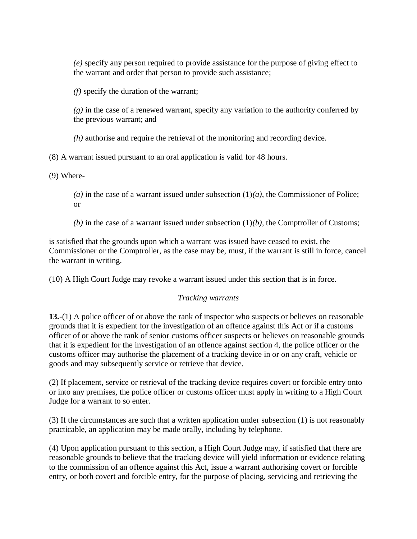*(e)* specify any person required to provide assistance for the purpose of giving effect to the warrant and order that person to provide such assistance;

*(f)* specify the duration of the warrant;

*(g)* in the case of a renewed warrant, specify any variation to the authority conferred by the previous warrant; and

*(h)* authorise and require the retrieval of the monitoring and recording device.

(8) A warrant issued pursuant to an oral application is valid for 48 hours.

(9) Where-

(a) in the case of a warrant issued under subsection  $(1)(a)$ , the Commissioner of Police; or

*(b)* in the case of a warrant issued under subsection (1)*(b),* the Comptroller of Customs;

is satisfied that the grounds upon which a warrant was issued have ceased to exist, the Commissioner or the Comptroller, as the case may be, must, if the warrant is still in force, cancel the warrant in writing.

(10) A High Court Judge may revoke a warrant issued under this section that is in force.

# *Tracking warrants*

**13.**-(1) A police officer of or above the rank of inspector who suspects or believes on reasonable grounds that it is expedient for the investigation of an offence against this Act or if a customs officer of or above the rank of senior customs officer suspects or believes on reasonable grounds that it is expedient for the investigation of an offence against section 4, the police officer or the customs officer may authorise the placement of a tracking device in or on any craft, vehicle or goods and may subsequently service or retrieve that device.

(2) If placement, service or retrieval of the tracking device requires covert or forcible entry onto or into any premises, the police officer or customs officer must apply in writing to a High Court Judge for a warrant to so enter.

(3) If the circumstances are such that a written application under subsection (1) is not reasonably practicable, an application may be made orally, including by telephone.

(4) Upon application pursuant to this section, a High Court Judge may, if satisfied that there are reasonable grounds to believe that the tracking device will yield information or evidence relating to the commission of an offence against this Act, issue a warrant authorising covert or forcible entry, or both covert and forcible entry, for the purpose of placing, servicing and retrieving the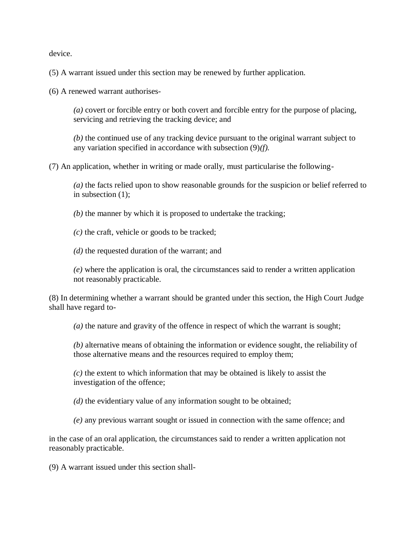device.

(5) A warrant issued under this section may be renewed by further application.

(6) A renewed warrant authorises-

*(a)* covert or forcible entry or both covert and forcible entry for the purpose of placing, servicing and retrieving the tracking device; and

*(b)* the continued use of any tracking device pursuant to the original warrant subject to any variation specified in accordance with subsection (9)*(f).*

(7) An application, whether in writing or made orally, must particularise the following-

*(a)* the facts relied upon to show reasonable grounds for the suspicion or belief referred to in subsection (1);

*(b)* the manner by which it is proposed to undertake the tracking;

*(c)* the craft, vehicle or goods to be tracked;

*(d)* the requested duration of the warrant; and

*(e)* where the application is oral, the circumstances said to render a written application not reasonably practicable.

(8) In determining whether a warrant should be granted under this section, the High Court Judge shall have regard to-

*(a)* the nature and gravity of the offence in respect of which the warrant is sought;

*(b)* alternative means of obtaining the information or evidence sought, the reliability of those alternative means and the resources required to employ them;

*(c)* the extent to which information that may be obtained is likely to assist the investigation of the offence;

*(d)* the evidentiary value of any information sought to be obtained;

*(e)* any previous warrant sought or issued in connection with the same offence; and

in the case of an oral application, the circumstances said to render a written application not reasonably practicable.

(9) A warrant issued under this section shall-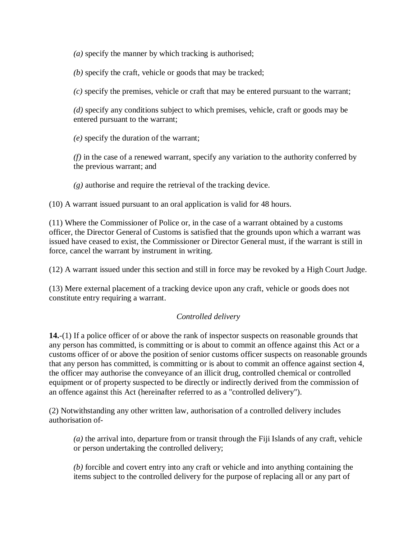*(a)* specify the manner by which tracking is authorised;

*(b)* specify the craft, vehicle or goods that may be tracked;

*(c)* specify the premises, vehicle or craft that may be entered pursuant to the warrant;

*(d)* specify any conditions subject to which premises, vehicle, craft or goods may be entered pursuant to the warrant;

*(e)* specify the duration of the warrant;

*(f)* in the case of a renewed warrant, specify any variation to the authority conferred by the previous warrant; and

*(g)* authorise and require the retrieval of the tracking device.

(10) A warrant issued pursuant to an oral application is valid for 48 hours.

(11) Where the Commissioner of Police or, in the case of a warrant obtained by a customs officer, the Director General of Customs is satisfied that the grounds upon which a warrant was issued have ceased to exist, the Commissioner or Director General must, if the warrant is still in force, cancel the warrant by instrument in writing.

(12) A warrant issued under this section and still in force may be revoked by a High Court Judge.

(13) Mere external placement of a tracking device upon any craft, vehicle or goods does not constitute entry requiring a warrant.

## *Controlled delivery*

**14.**-(1) If a police officer of or above the rank of inspector suspects on reasonable grounds that any person has committed, is committing or is about to commit an offence against this Act or a customs officer of or above the position of senior customs officer suspects on reasonable grounds that any person has committed, is committing or is about to commit an offence against section 4, the officer may authorise the conveyance of an illicit drug, controlled chemical or controlled equipment or of property suspected to be directly or indirectly derived from the commission of an offence against this Act (hereinafter referred to as a "controlled delivery").

(2) Notwithstanding any other written law, authorisation of a controlled delivery includes authorisation of-

*(a)* the arrival into, departure from or transit through the Fiji Islands of any craft, vehicle or person undertaking the controlled delivery;

*(b)* forcible and covert entry into any craft or vehicle and into anything containing the items subject to the controlled delivery for the purpose of replacing all or any part of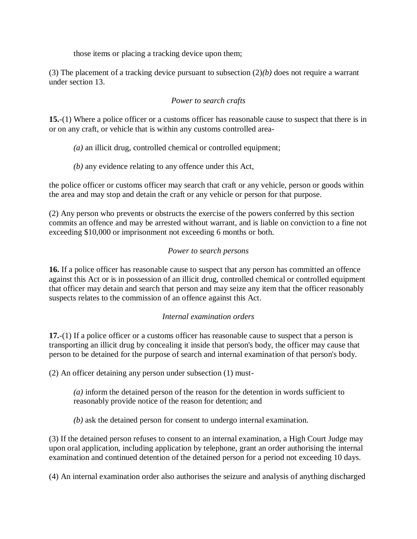those items or placing a tracking device upon them;

(3) The placement of a tracking device pursuant to subsection (2)*(b)* does not require a warrant under section 13.

## *Power to search crafts*

**15.**-(1) Where a police officer or a customs officer has reasonable cause to suspect that there is in or on any craft, or vehicle that is within any customs controlled area-

- *(a)* an illicit drug, controlled chemical or controlled equipment;
- *(b)* any evidence relating to any offence under this Act,

the police officer or customs officer may search that craft or any vehicle, person or goods within the area and may stop and detain the craft or any vehicle or person for that purpose.

(2) Any person who prevents or obstructs the exercise of the powers conferred by this section commits an offence and may be arrested without warrant, and is liable on conviction to a fine not exceeding \$10,000 or imprisonment not exceeding 6 months or both.

## *Power to search persons*

**16.** If a police officer has reasonable cause to suspect that any person has committed an offence against this Act or is in possession of an illicit drug, controlled chemical or controlled equipment that officer may detain and search that person and may seize any item that the officer reasonably suspects relates to the commission of an offence against this Act.

## *Internal examination orders*

**17.**-(1) If a police officer or a customs officer has reasonable cause to suspect that a person is transporting an illicit drug by concealing it inside that person's body, the officer may cause that person to be detained for the purpose of search and internal examination of that person's body.

(2) An officer detaining any person under subsection (1) must-

*(a)* inform the detained person of the reason for the detention in words sufficient to reasonably provide notice of the reason for detention; and

*(b)* ask the detained person for consent to undergo internal examination.

(3) If the detained person refuses to consent to an internal examination, a High Court Judge may upon oral application, including application by telephone, grant an order authorising the internal examination and continued detention of the detained person for a period not exceeding 10 days.

(4) An internal examination order also authorises the seizure and analysis of anything discharged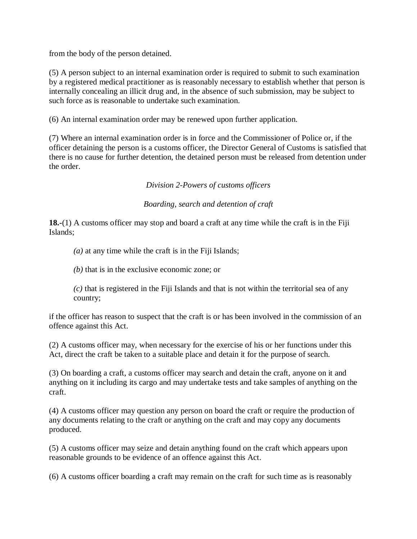from the body of the person detained.

(5) A person subject to an internal examination order is required to submit to such examination by a registered medical practitioner as is reasonably necessary to establish whether that person is internally concealing an illicit drug and, in the absence of such submission, may be subject to such force as is reasonable to undertake such examination.

(6) An internal examination order may be renewed upon further application.

(7) Where an internal examination order is in force and the Commissioner of Police or, if the officer detaining the person is a customs officer, the Director General of Customs is satisfied that there is no cause for further detention, the detained person must be released from detention under the order.

*Division 2-Powers of customs officers*

*Boarding, search and detention of craft*

**18.-**(1) A customs officer may stop and board a craft at any time while the craft is in the Fiji Islands;

*(a)* at any time while the craft is in the Fiji Islands;

*(b)* that is in the exclusive economic zone; or

*(c)* that is registered in the Fiji Islands and that is not within the territorial sea of any country;

if the officer has reason to suspect that the craft is or has been involved in the commission of an offence against this Act.

(2) A customs officer may, when necessary for the exercise of his or her functions under this Act, direct the craft be taken to a suitable place and detain it for the purpose of search.

(3) On boarding a craft, a customs officer may search and detain the craft, anyone on it and anything on it including its cargo and may undertake tests and take samples of anything on the craft.

(4) A customs officer may question any person on board the craft or require the production of any documents relating to the craft or anything on the craft and may copy any documents produced.

(5) A customs officer may seize and detain anything found on the craft which appears upon reasonable grounds to be evidence of an offence against this Act.

(6) A customs officer boarding a craft may remain on the craft for such time as is reasonably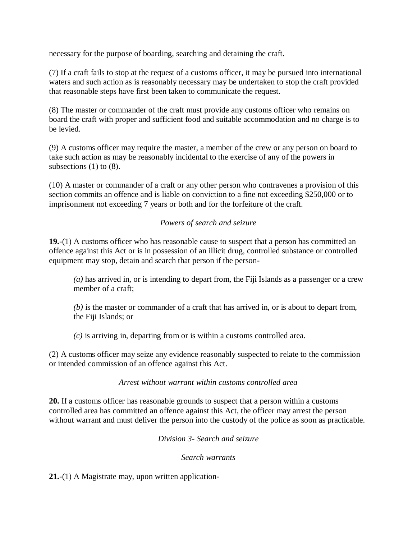necessary for the purpose of boarding, searching and detaining the craft.

(7) If a craft fails to stop at the request of a customs officer, it may be pursued into international waters and such action as is reasonably necessary may be undertaken to stop the craft provided that reasonable steps have first been taken to communicate the request.

(8) The master or commander of the craft must provide any customs officer who remains on board the craft with proper and sufficient food and suitable accommodation and no charge is to be levied.

(9) A customs officer may require the master, a member of the crew or any person on board to take such action as may be reasonably incidental to the exercise of any of the powers in subsections (1) to (8).

(10) A master or commander of a craft or any other person who contravenes a provision of this section commits an offence and is liable on conviction to a fine not exceeding \$250,000 or to imprisonment not exceeding 7 years or both and for the forfeiture of the craft.

## *Powers of search and seizure*

**19.**-(1) A customs officer who has reasonable cause to suspect that a person has committed an offence against this Act or is in possession of an illicit drug, controlled substance or controlled equipment may stop, detain and search that person if the person-

*(a)* has arrived in, or is intending to depart from, the Fiji Islands as a passenger or a crew member of a craft:

*(b)* is the master or commander of a craft that has arrived in, or is about to depart from, the Fiji Islands; or

*(c)* is arriving in, departing from or is within a customs controlled area.

(2) A customs officer may seize any evidence reasonably suspected to relate to the commission or intended commission of an offence against this Act.

#### *Arrest without warrant within customs controlled area*

**20.** If a customs officer has reasonable grounds to suspect that a person within a customs controlled area has committed an offence against this Act, the officer may arrest the person without warrant and must deliver the person into the custody of the police as soon as practicable.

*Division 3- Search and seizure*

*Search warrants*

**21.**-(1) A Magistrate may, upon written application-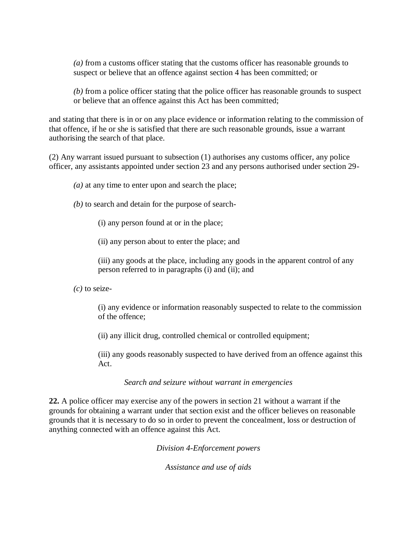*(a)* from a customs officer stating that the customs officer has reasonable grounds to suspect or believe that an offence against section 4 has been committed; or

*(b)* from a police officer stating that the police officer has reasonable grounds to suspect or believe that an offence against this Act has been committed;

and stating that there is in or on any place evidence or information relating to the commission of that offence, if he or she is satisfied that there are such reasonable grounds, issue a warrant authorising the search of that place.

(2) Any warrant issued pursuant to subsection (1) authorises any customs officer, any police officer, any assistants appointed under section 23 and any persons authorised under section 29-

*(a)* at any time to enter upon and search the place;

*(b)* to search and detain for the purpose of search-

(i) any person found at or in the place;

(ii) any person about to enter the place; and

(iii) any goods at the place, including any goods in the apparent control of any person referred to in paragraphs (i) and (ii); and

*(c)* to seize-

(i) any evidence or information reasonably suspected to relate to the commission of the offence;

(ii) any illicit drug, controlled chemical or controlled equipment;

(iii) any goods reasonably suspected to have derived from an offence against this Act.

#### *Search and seizure without warrant in emergencies*

**22.** A police officer may exercise any of the powers in section 21 without a warrant if the grounds for obtaining a warrant under that section exist and the officer believes on reasonable grounds that it is necessary to do so in order to prevent the concealment, loss or destruction of anything connected with an offence against this Act.

*Division 4-Enforcement powers*

*Assistance and use of aids*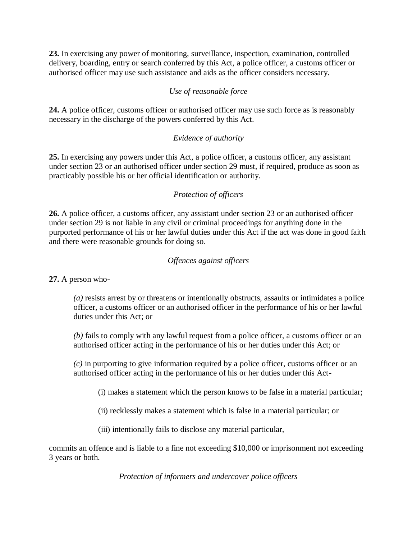**23.** In exercising any power of monitoring, surveillance, inspection, examination, controlled delivery, boarding, entry or search conferred by this Act, a police officer, a customs officer or authorised officer may use such assistance and aids as the officer considers necessary.

# *Use of reasonable force*

**24.** A police officer, customs officer or authorised officer may use such force as is reasonably necessary in the discharge of the powers conferred by this Act.

# *Evidence of authority*

**25.** In exercising any powers under this Act, a police officer, a customs officer, any assistant under section 23 or an authorised officer under section 29 must, if required, produce as soon as practicably possible his or her official identification or authority.

# *Protection of officers*

**26.** A police officer, a customs officer, any assistant under section 23 or an authorised officer under section 29 is not liable in any civil or criminal proceedings for anything done in the purported performance of his or her lawful duties under this Act if the act was done in good faith and there were reasonable grounds for doing so.

## *Offences against officers*

**27.** A person who-

*(a)* resists arrest by or threatens or intentionally obstructs, assaults or intimidates a police officer, a customs officer or an authorised officer in the performance of his or her lawful duties under this Act; or

*(b)* fails to comply with any lawful request from a police officer, a customs officer or an authorised officer acting in the performance of his or her duties under this Act; or

*(c)* in purporting to give information required by a police officer, customs officer or an authorised officer acting in the performance of his or her duties under this Act-

(i) makes a statement which the person knows to be false in a material particular;

(ii) recklessly makes a statement which is false in a material particular; or

(iii) intentionally fails to disclose any material particular,

commits an offence and is liable to a fine not exceeding \$10,000 or imprisonment not exceeding 3 years or both.

*Protection of informers and undercover police officers*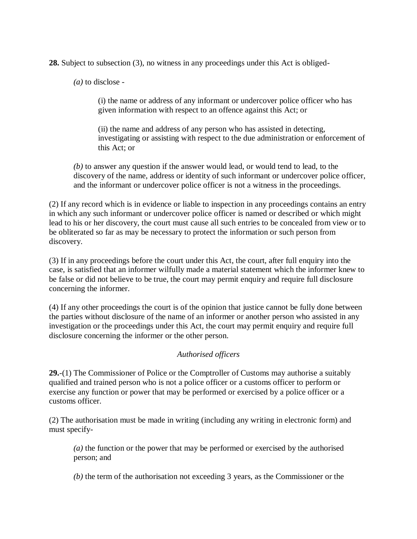**28.** Subject to subsection (3), no witness in any proceedings under this Act is obliged-

*(a)* to disclose -

(i) the name or address of any informant or undercover police officer who has given information with respect to an offence against this Act; or

(ii) the name and address of any person who has assisted in detecting, investigating or assisting with respect to the due administration or enforcement of this Act; or

*(b)* to answer any question if the answer would lead, or would tend to lead, to the discovery of the name, address or identity of such informant or undercover police officer, and the informant or undercover police officer is not a witness in the proceedings.

(2) If any record which is in evidence or liable to inspection in any proceedings contains an entry in which any such informant or undercover police officer is named or described or which might lead to his or her discovery, the court must cause all such entries to be concealed from view or to be obliterated so far as may be necessary to protect the information or such person from discovery.

(3) If in any proceedings before the court under this Act, the court, after full enquiry into the case, is satisfied that an informer wilfully made a material statement which the informer knew to be false or did not believe to be true, the court may permit enquiry and require full disclosure concerning the informer.

(4) If any other proceedings the court is of the opinion that justice cannot be fully done between the parties without disclosure of the name of an informer or another person who assisted in any investigation or the proceedings under this Act, the court may permit enquiry and require full disclosure concerning the informer or the other person.

## *Authorised officers*

**29.**-(1) The Commissioner of Police or the Comptroller of Customs may authorise a suitably qualified and trained person who is not a police officer or a customs officer to perform or exercise any function or power that may be performed or exercised by a police officer or a customs officer.

(2) The authorisation must be made in writing (including any writing in electronic form) and must specify-

*(a)* the function or the power that may be performed or exercised by the authorised person; and

*(b)* the term of the authorisation not exceeding 3 years, as the Commissioner or the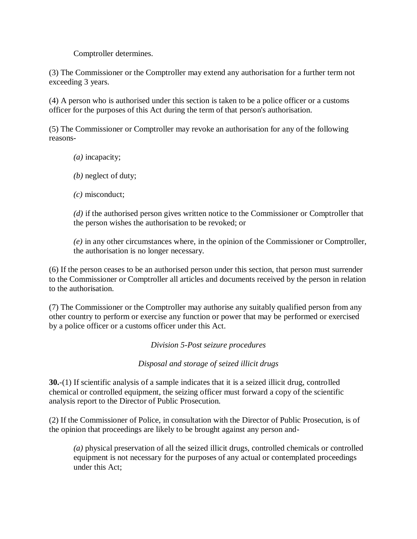Comptroller determines.

(3) The Commissioner or the Comptroller may extend any authorisation for a further term not exceeding 3 years.

(4) A person who is authorised under this section is taken to be a police officer or a customs officer for the purposes of this Act during the term of that person's authorisation.

(5) The Commissioner or Comptroller may revoke an authorisation for any of the following reasons-

- *(a)* incapacity;
- *(b)* neglect of duty;
- *(c)* misconduct;

*(d)* if the authorised person gives written notice to the Commissioner or Comptroller that the person wishes the authorisation to be revoked; or

*(e)* in any other circumstances where, in the opinion of the Commissioner or Comptroller, the authorisation is no longer necessary.

(6) If the person ceases to be an authorised person under this section, that person must surrender to the Commissioner or Comptroller all articles and documents received by the person in relation to the authorisation.

(7) The Commissioner or the Comptroller may authorise any suitably qualified person from any other country to perform or exercise any function or power that may be performed or exercised by a police officer or a customs officer under this Act.

*Division 5-Post seizure procedures*

*Disposal and storage of seized illicit drugs*

**30.**-(1) If scientific analysis of a sample indicates that it is a seized illicit drug, controlled chemical or controlled equipment, the seizing officer must forward a copy of the scientific analysis report to the Director of Public Prosecution.

(2) If the Commissioner of Police, in consultation with the Director of Public Prosecution, is of the opinion that proceedings are likely to be brought against any person and-

*(a)* physical preservation of all the seized illicit drugs, controlled chemicals or controlled equipment is not necessary for the purposes of any actual or contemplated proceedings under this Act;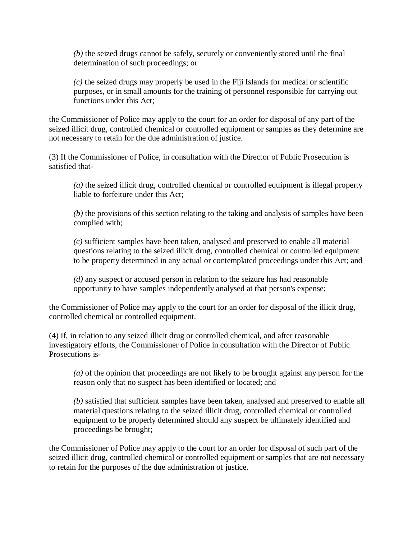*(b)* the seized drugs cannot be safely, securely or conveniently stored until the final determination of such proceedings; or

*(c)* the seized drugs may properly be used in the Fiji Islands for medical or scientific purposes, or in small amounts for the training of personnel responsible for carrying out functions under this Act;

the Commissioner of Police may apply to the court for an order for disposal of any part of the seized illicit drug, controlled chemical or controlled equipment or samples as they determine are not necessary to retain for the due administration of justice.

(3) If the Commissioner of Police, in consultation with the Director of Public Prosecution is satisfied that-

*(a)* the seized illicit drug, controlled chemical or controlled equipment is illegal property liable to forfeiture under this Act;

*(b)* the provisions of this section relating to the taking and analysis of samples have been complied with;

*(c)* sufficient samples have been taken, analysed and preserved to enable all material questions relating to the seized illicit drug, controlled chemical or controlled equipment to be property determined in any actual or contemplated proceedings under this Act; and

*(d)* any suspect or accused person in relation to the seizure has had reasonable opportunity to have samples independently analysed at that person's expense;

the Commissioner of Police may apply to the court for an order for disposal of the illicit drug, controlled chemical or controlled equipment.

(4) If, in relation to any seized illicit drug or controlled chemical, and after reasonable investigatory efforts, the Commissioner of Police in consultation with the Director of Public Prosecutions is-

*(a)* of the opinion that proceedings are not likely to be brought against any person for the reason only that no suspect has been identified or located; and

*(b)* satisfied that sufficient samples have been taken, analysed and preserved to enable all material questions relating to the seized illicit drug, controlled chemical or controlled equipment to be properly determined should any suspect be ultimately identified and proceedings be brought;

the Commissioner of Police may apply to the court for an order for disposal of such part of the seized illicit drug, controlled chemical or controlled equipment or samples that are not necessary to retain for the purposes of the due administration of justice.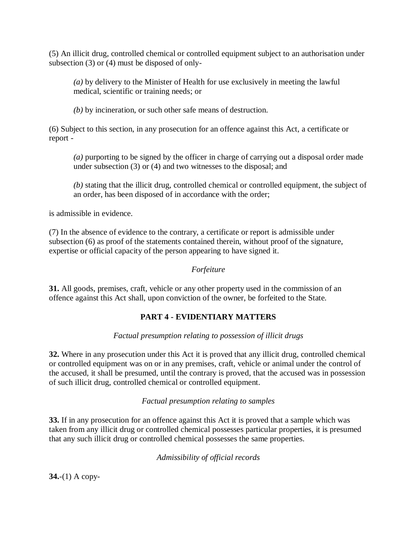(5) An illicit drug, controlled chemical or controlled equipment subject to an authorisation under subsection (3) or (4) must be disposed of only-

*(a)* by delivery to the Minister of Health for use exclusively in meeting the lawful medical, scientific or training needs; or

*(b)* by incineration, or such other safe means of destruction.

(6) Subject to this section, in any prosecution for an offence against this Act, a certificate or report -

*(a)* purporting to be signed by the officer in charge of carrying out a disposal order made under subsection (3) or (4) and two witnesses to the disposal; and

*(b)* stating that the illicit drug, controlled chemical or controlled equipment, the subject of an order, has been disposed of in accordance with the order;

is admissible in evidence.

(7) In the absence of evidence to the contrary, a certificate or report is admissible under subsection (6) as proof of the statements contained therein, without proof of the signature, expertise or official capacity of the person appearing to have signed it.

## *Forfeiture*

**31.** All goods, premises, craft, vehicle or any other property used in the commission of an offence against this Act shall, upon conviction of the owner, be forfeited to the State.

## **PART 4 - EVIDENTIARY MATTERS**

*Factual presumption relating to possession of illicit drugs*

**32.** Where in any prosecution under this Act it is proved that any illicit drug, controlled chemical or controlled equipment was on or in any premises, craft, vehicle or animal under the control of the accused, it shall be presumed, until the contrary is proved, that the accused was in possession of such illicit drug, controlled chemical or controlled equipment.

## *Factual presumption relating to samples*

**33.** If in any prosecution for an offence against this Act it is proved that a sample which was taken from any illicit drug or controlled chemical possesses particular properties, it is presumed that any such illicit drug or controlled chemical possesses the same properties.

*Admissibility of official records*

**34.**-(1) A copy-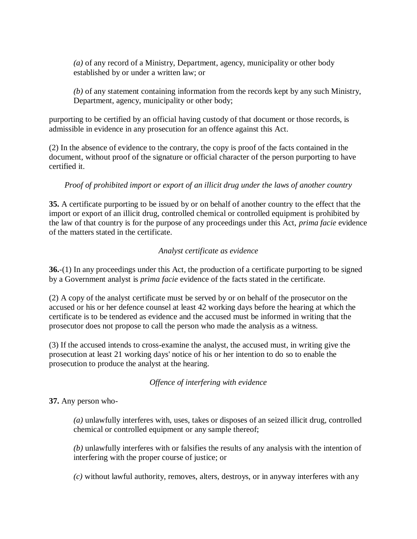*(a)* of any record of a Ministry, Department, agency, municipality or other body established by or under a written law; or

*(b)* of any statement containing information from the records kept by any such Ministry, Department, agency, municipality or other body;

purporting to be certified by an official having custody of that document or those records, is admissible in evidence in any prosecution for an offence against this Act.

(2) In the absence of evidence to the contrary, the copy is proof of the facts contained in the document, without proof of the signature or official character of the person purporting to have certified it.

# *Proof of prohibited import or export of an illicit drug under the laws of another country*

**35.** A certificate purporting to be issued by or on behalf of another country to the effect that the import or export of an illicit drug, controlled chemical or controlled equipment is prohibited by the law of that country is for the purpose of any proceedings under this Act, *prima facie* evidence of the matters stated in the certificate.

## *Analyst certificate as evidence*

**36.**-(1) In any proceedings under this Act, the production of a certificate purporting to be signed by a Government analyst is *prima facie* evidence of the facts stated in the certificate.

(2) A copy of the analyst certificate must be served by or on behalf of the prosecutor on the accused or his or her defence counsel at least 42 working days before the hearing at which the certificate is to be tendered as evidence and the accused must be informed in writing that the prosecutor does not propose to call the person who made the analysis as a witness.

(3) If the accused intends to cross-examine the analyst, the accused must, in writing give the prosecution at least 21 working days' notice of his or her intention to do so to enable the prosecution to produce the analyst at the hearing.

## *Offence of interfering with evidence*

**37.** Any person who-

*(a)* unlawfully interferes with, uses, takes or disposes of an seized illicit drug, controlled chemical or controlled equipment or any sample thereof;

*(b)* unlawfully interferes with or falsifies the results of any analysis with the intention of interfering with the proper course of justice; or

*(c)* without lawful authority, removes, alters, destroys, or in anyway interferes with any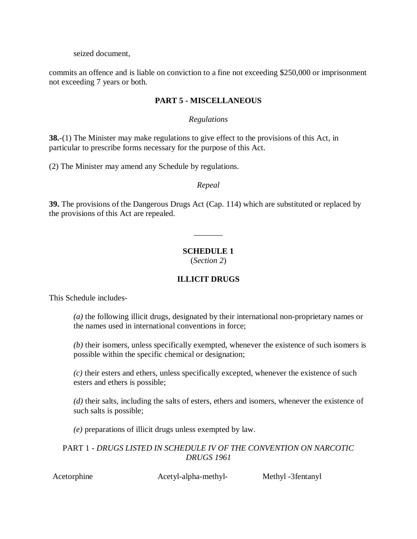seized document,

commits an offence and is liable on conviction to a fine not exceeding \$250,000 or imprisonment not exceeding 7 years or both.

## **PART 5 - MISCELLANEOUS**

## *Regulations*

**38.**-(1) The Minister may make regulations to give effect to the provisions of this Act, in particular to prescribe forms necessary for the purpose of this Act.

(2) The Minister may amend any Schedule by regulations.

*Repeal*

**39.** The provisions of the Dangerous Drugs Act (Cap. 114) which are substituted or replaced by the provisions of this Act are repealed.

# **SCHEDULE 1**

 $\overline{\phantom{a}}$ 

(*Section 2*)

# **ILLICIT DRUGS**

This Schedule includes-

*(a)* the following illicit drugs, designated by their international non-proprietary names or the names used in international conventions in force;

*(b)* their isomers, unless specifically exempted, whenever the existence of such isomers is possible within the specific chemical or designation;

*(c)* their esters and ethers, unless specifically excepted, whenever the existence of such esters and ethers is possible;

*(d)* their salts, including the salts of esters, ethers and isomers, whenever the existence of such salts is possible;

*(e)* preparations of illicit drugs unless exempted by law.

PART 1 - *DRUGS LISTED IN SCHEDULE IV OF THE CONVENTION ON NARCOTIC DRUGS 1961*

Acetorphine Acetyl-alpha-methyl- Methyl -3fentanyl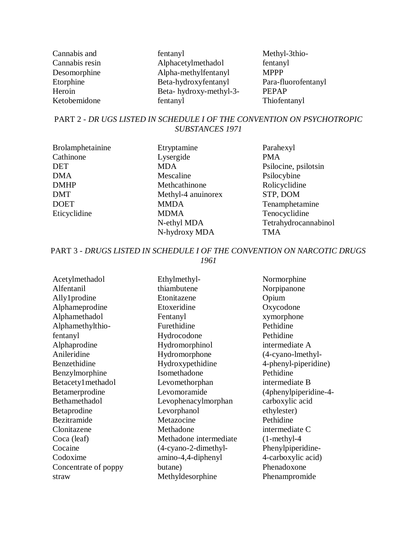| Cannabis and   | fentanyl               | Methyl-3thio-       |
|----------------|------------------------|---------------------|
| Cannabis resin | Alphacetylmethadol     | fentanyl            |
| Desomorphine   | Alpha-methylfentanyl   | <b>MPPP</b>         |
| Etorphine      | Beta-hydroxyfentanyl   | Para-fluorofentanyl |
| Heroin         | Beta-hydroxy-methyl-3- | <b>PEPAP</b>        |
| Ketobemidone   | fentanyl               | Thiofentanyl        |

## PART 2 - *DR UGS LISTED IN SCHEDULE I OF THE CONVENTION ON PSYCHOTROPIC SUBSTANCES 1971*

| <b>Brolamphetain</b> |
|----------------------|
| Cathinone            |
| DET                  |
| <b>DMA</b>           |
| <b>DMHP</b>          |
| <b>DMT</b>           |
| <b>DOET</b>          |
| Eticyclidine         |
|                      |

Brolamphetainine Etryptamine Parahexyl Lysergide PMA MDA Psilocine, psilotsin Mescaline Psilocybine<br>
Methcathinone Rolicyclidine Methcathinone Rolicyclidin<br>
Methyl-4 anuinorex STP, DOM Methyl-4 anuinorex MMDA Tenamphetamine MDMA Tenocyclidine N-hydroxy MDA TMA

N-ethyl MDA Tetrahydrocannabinol

PART 3 - *DRUGS LISTED IN SCHEDULE I OF THE CONVENTION ON NARCOTIC DRUGS 1961*

| Acetylmethadol       | Ethylmethyl-           | Normorphine           |
|----------------------|------------------------|-----------------------|
| Alfentanil           | thiambutene            | Norpipanone           |
| Ally1prodine         | Etonitazene            | Opium                 |
| Alphameprodine       | Etoxeridine            | Oxycodone             |
| Alphamethadol        | Fentanyl               | xymorphone            |
| Alphamethylthio-     | Furethidine            | Pethidine             |
| fentanyl             | Hydrocodone            | Pethidine             |
| Alphaprodine         | Hydromorphinol         | intermediate A        |
| Anileridine          | Hydromorphone          | (4-cyano-lmethyl-     |
| Benzethidine         | Hydroxypethidine       | 4-phenyl-piperidine)  |
| Benzylmorphine       | Isomethadone           | Pethidine             |
| Betacety1methadol    | Levomethorphan         | intermediate B        |
| Betamerprodine       | Levomoramide           | (4phenylpiperidine-4- |
| Bethamethadol        | Levophenacylmorphan    | carboxylic acid       |
| Betaprodine          | Levorphanol            | ethylester)           |
| Bezitramide          | Metazocine             | Pethidine             |
| Clonitazene          | Methadone              | intermediate C        |
| Coca (leaf)          | Methadone intermediate | $(1-methyl-4)$        |
| Cocaine              | $(4-cyano-2-dimethyl-$ | Phenylpiperidine-     |
| Codoxime             | amino-4,4-diphenyl     | 4-carboxylic acid)    |
| Concentrate of poppy | butane)                | Phenadoxone           |
| straw                | Methyldesorphine       | Phenampromide         |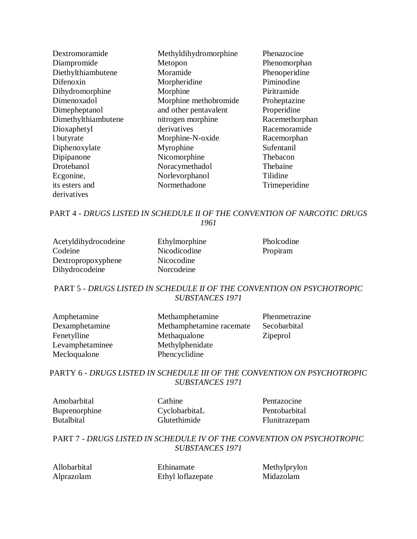| Dextromoramide      | Methyldihydromorphine | Phenazocine    |
|---------------------|-----------------------|----------------|
| Diampromide         | Metopon               | Phenomorphan   |
| Diethylthiambutene  | Moramide              | Phenoperidine  |
| Difenoxin           | Morpheridine          | Piminodine     |
| Dihydromorphine     | Morphine              | Piritramide    |
| Dimenoxadol         | Morphine methobromide | Proheptazine   |
| Dimepheptanol       | and other pentavalent | Properidine    |
| Dimethylthiambutene | nitrogen morphine     | Racemethorphan |
| Dioxaphetyl         | derivatives           | Racemoramide   |
| 1 butyrate          | Morphine-N-oxide      | Racemorphan    |
| Diphenoxylate       | Myrophine             | Sufentanil     |
| Dipipanone          | Nicomorphine          | Thebacon       |
| Drotebanol          | Noracymethadol        | Thebaine       |
| Ecgonine,           | Norlevorphanol        | Tilidine       |
| its esters and      | Normethadone          | Trimeperidine  |
| derivatives         |                       |                |

PART 4 - *DRUGS LISTED IN SCHEDULE II OF THE CONVENTION OF NARCOTIC DRUGS 1961*

| Acetyldihydrocodeine | Ethylmorphine | Pholcodine |
|----------------------|---------------|------------|
| Codeine              | Nicodicodine  | Propiram   |
| Dextropropoxyphene   | Nicocodine    |            |
| Dihydrocodeine       | Norcodeine    |            |

## PART 5 - *DRUGS LISTED IN SCHEDULE II OF THE CONVENTION ON PSYCHOTROPIC SUBSTANCES 1971*

| Amphetamine     | Methamphetamine          | Phenmetrazine   |
|-----------------|--------------------------|-----------------|
| Dexamphetamine  | Methamphetamine racemate | Secobarbital    |
| Fenetylline     | Methaqualone             | <b>Zipeprol</b> |
| Levamphetaminee | Methylphenidate          |                 |
| Mecloqualone    | Phencyclidine            |                 |

PARTY 6 - *DRUGS LISTED IN SCHEDULE III OF THE CONVENTION ON PSYCHOTROPIC SUBSTANCES 1971*

Amobarbital Cathine Pentazocine Buprenorphine CyclobarbitaL Pentobarbital Butalbital Glutethimide Flunitrazepam

## PART 7 - *DRUGS LISTED IN SCHEDULE IV OF THE CONVENTION ON PSYCHOTROPIC SUBSTANCES 1971*

Allobarbital Ethinamate Methylprylon<br>Albrazolam Ethyl loflazenate Midazolam Alprazolam Ethyl loflazepate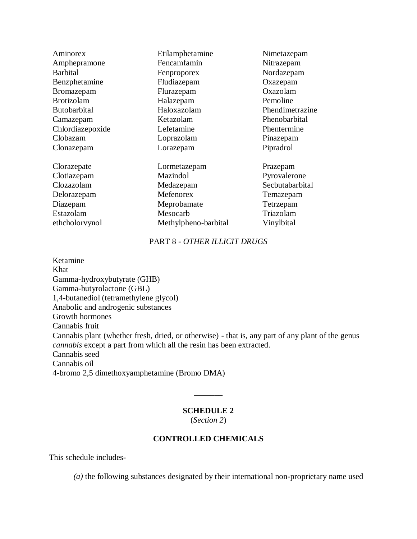| Aminorex          | Etilamphetamine      | Nimetazepam     |
|-------------------|----------------------|-----------------|
| Amphepramone      | Fencamfamin          | Nitrazepam      |
| <b>Barbital</b>   | Fenproporex          | Nordazepam      |
| Benzphetamine     | Fludiazepam          | Oxazepam        |
| <b>Bromazepam</b> | Flurazepam           | Oxazolam        |
| <b>Brotizolam</b> | Halazepam            | Pemoline        |
| Butobarbital      | Haloxazolam          | Phendimetrazine |
| Camazepam         | Ketazolam            | Phenobarbital   |
| Chlordiazepoxide  | Lefetamine           | Phentermine     |
| Clobazam          | Loprazolam           | Pinazepam       |
| Clonazepam        | Lorazepam            | Pipradrol       |
| Clorazepate       | Lormetazepam         | Prazepam        |
| Clotiazepam       | Mazindol             | Pyrovalerone    |
| Clozazolam        | Medazepam            | Secbutabarbital |
| Delorazepam       | Mefenorex            | Temazepam       |
| Diazepam          | Meprobamate          | Tetrzepam       |
| Estazolam         | Mesocarb             | Triazolam       |
| ethcholoryynol    | Methylpheno-barbital | Vinylbital      |

## PART 8 - *OTHER ILLICIT DRUGS*

Ketamine Khat Gamma-hydroxybutyrate (GHB) Gamma-butyrolactone (GBL) 1,4-butanediol (tetramethylene glycol) Anabolic and androgenic substances Growth hormones Cannabis fruit Cannabis plant (whether fresh, dried, or otherwise) - that is, any part of any plant of the genus *cannabis* except a part from which all the resin has been extracted. Cannabis seed Cannabis oil 4-bromo 2,5 dimethoxyamphetamine (Bromo DMA)

#### **SCHEDULE 2**

 $\overline{\phantom{a}}$ 

(*Section 2*)

#### **CONTROLLED CHEMICALS**

This schedule includes-

*(a)* the following substances designated by their international non-proprietary name used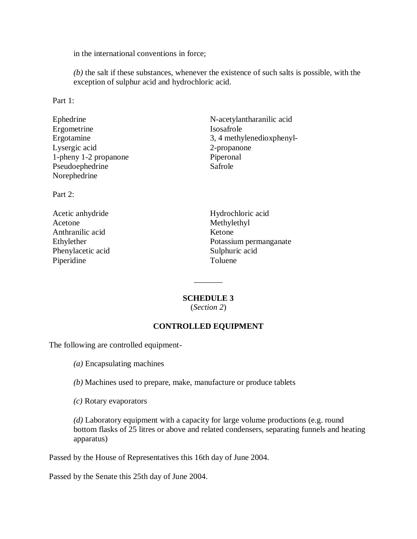in the international conventions in force;

*(b)* the salt if these substances, whenever the existence of such salts is possible, with the exception of sulphur acid and hydrochloric acid.

Part 1:

| Ephedrine             | N-acetylantharanilic acid |
|-----------------------|---------------------------|
| Ergometrine           | Isosafrole                |
| Ergotamine            | 3, 4 methylenedioxphenyl- |
| Lysergic acid         | 2-propanone               |
| 1-pheny 1-2 propanone | Piperonal                 |
| Pseudoephedrine       | Safrole                   |
| Norephedrine          |                           |
|                       |                           |

Part 2:

Acetone Methylethyl Anthranilic acid Ketone Phenylacetic acid Sulphuric acid Piperidine Toluene

Acetic anhydride Hydrochloric acid Ethylether Potassium permanganate

#### **SCHEDULE 3**

 $\overline{\phantom{a}}$ 

(*Section 2*)

## **CONTROLLED EQUIPMENT**

The following are controlled equipment-

*(a)* Encapsulating machines

- *(b)* Machines used to prepare, make, manufacture or produce tablets
- *(c)* Rotary evaporators

*(d)* Laboratory equipment with a capacity for large volume productions (e.g. round bottom flasks of 25 litres or above and related condensers, separating funnels and heating apparatus)

Passed by the House of Representatives this 16th day of June 2004.

Passed by the Senate this 25th day of June 2004.